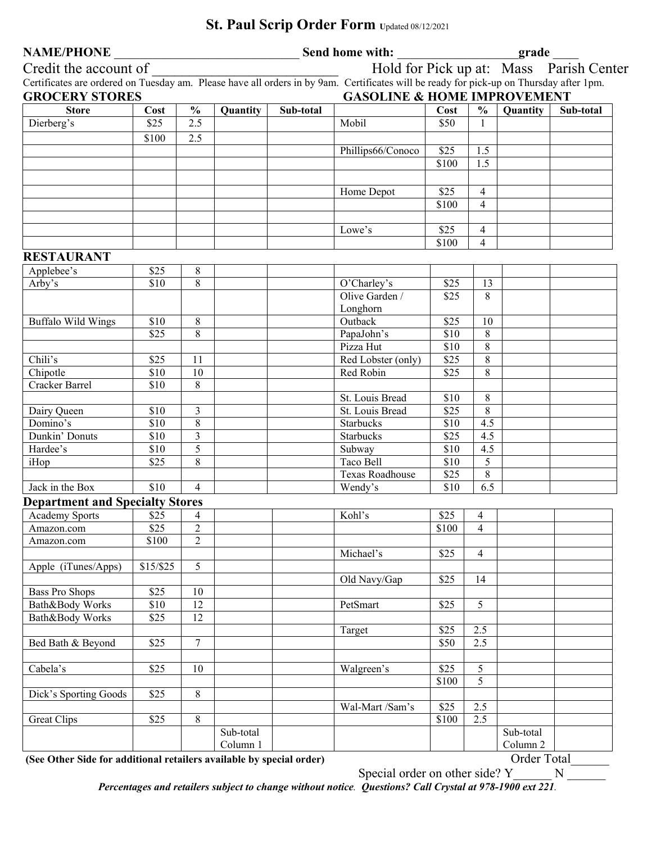## **NAME/PHONE Send home with: grade**  $\blacksquare$ Credit the account of Text Units and Hold for Pick up at: Mass Parish Center Certificates are ordered on Tuesday am. Please have all orders in by 9am. Certificates will be ready for pick-up on Thursday after 1pm. **GROCERY STORES GASOLINE & HOME IMPROVEMENT Store Cost % Quantity Sub-total Cost % Quantity Sub-total Cost % Quantity Sub-total**<br>Dierberg's \$25 2.5 Alobil Mobil \$50 1 Dierberg's 1950 | \$25 | 2.5 | 1 | Mobil | \$50 | 1 \$100 2.5 Phillips66/Conoco \$25 1.5 **1** 1.5 **1.1.5 1.1.5 1.1.5 1.1.5** Home Depot | \$25 | 4 \$100 4  $Lowe's$   $S25$  4 \$100 4 **RESTAURANT**  Applebee's \$25 8 Arby's \$10 8 O'Charley's \$25 13 Olive Garden / Longhorn \$25 8 Buffalo Wild Wings \$10 8 000 8 Outback \$25 10 **\$25 8 PapaJohn's** \$10 8 Pizza Hut \$10 8 Chili's S25 11 Red Lobster (only) \$25 8 Chipotle \$10 10 Red Robin \$25 8 Cracker Barrel \$10 8 St. Louis Bread \$10 8 Dairy Queen \$10 3 St. Louis Bread \$25 8 Domino's \$10 8 Starbucks \$10 4.5 Dunkin' Donuts \$10 3 Starbucks \$25 4.5 Hardee's 10 5 | Subway | \$10 4.5 iHop 325 8 Taco Bell \$10 5 Texas Roadhouse | \$25 | 8 Jack in the Box \$10 4 Wendy's \$10 6.5 **Department and Specialty Stores**  Academy Sports \$25 4 Kohl's \$25 4 Kohl's \$25 4 S100 4 Amazon.com \$25 2 \ \ \$100 4 Amazon.com | \$100 | 2 Michael's \$25 4 Apple (iTunes/Apps)  $\begin{array}{|l} \hline \text{$15/\$25} & \text{5} \end{array}$ Old Navy/Gap | \$25 | 14 Bass Pro Shops \$25 | 10 Bath&Body Works \$10 12 PetSmart \$25 5 Bath&Body Works | \$25 | 12 Target \$25 2.5 Bed Bath & Beyond  $\begin{array}{|c|c|c|c|c|c|c|c|} \hline \end{array}$  \$25  $\begin{array}{|c|c|c|c|c|c|c|c|} \hline \end{array}$  \$50  $\begin{array}{|c|c|c|c|c|c|} \hline \end{array}$  \$50  $\begin{array}{|c|c|c|c|c|c|} \hline \end{array}$ Cabela's <br>
S25 10 Walgreen's \$25 5 \$100 5 Dick's Sporting Goods  $\begin{array}{|c|c|c|} \hline \text{S25} & \text{8} \\ \hline \end{array}$ Wal-Mart /Sam's  $\begin{array}{|l|} \n\text{ $325$} & 2.5\n\end{array}$ Great Clips 19825 8 8 | 1982 | 1983 | 1984 | 1984 | 1984 | 1984 | 1984 | 1984 | 1984 | 1984 | 1984 | 1984 | 19 Sub-total Column 1 Sub-total Column 2

**(See Other Side for additional retailers available by special order)** Order Total\_\_\_\_\_\_

Special order on other side? Y \_\_\_\_\_ N

*Percentages and retailers subject to change without notice. Questions? Call Crystal at 978-1900 ext 221.* 

## St. Paul Scrip Order Form Updated 08/12/2021